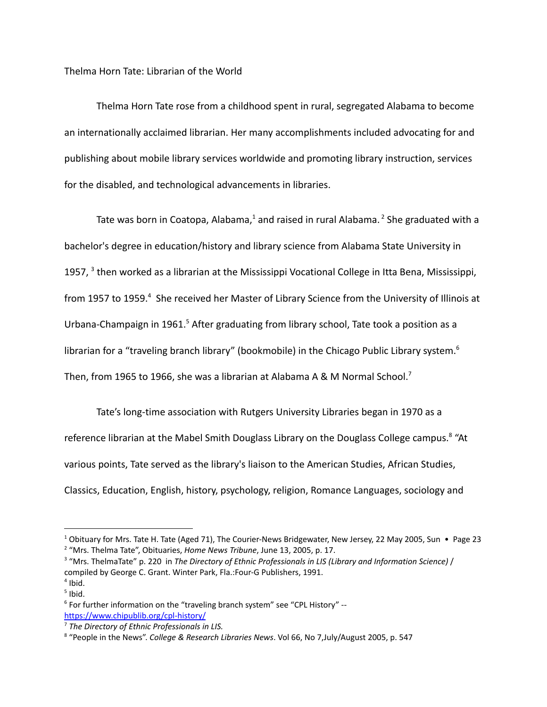Thelma Horn Tate: Librarian of the World

Thelma Horn Tate rose from a childhood spent in rural, segregated Alabama to become an internationally acclaimed librarian. Her many accomplishments included advocating for and publishing about mobile library services worldwide and promoting library instruction, services for the disabled, and technological advancements in libraries.

Tate was born in Coatopa, Alabama, $1$  and raised in rural Alabama.<sup>2</sup> She graduated with a bachelor's degree in education/history and library science from Alabama State University in 1957, <sup>3</sup> then worked as a librarian at the Mississippi Vocational College in Itta Bena, Mississippi, from 1957 to 1959.<sup>4</sup> She received her Master of Library Science from the University of Illinois at Urbana-Champaign in 1961.<sup>5</sup> After graduating from library school, Tate took a position as a librarian for a "traveling branch library" (bookmobile) in the Chicago Public Library system.<sup>6</sup> Then, from 1965 to 1966, she was a librarian at Alabama A & M Normal School.<sup>7</sup>

Tate's long-time association with Rutgers University Libraries began in 1970 as a reference librarian at the Mabel Smith Douglass Library on the Douglass College campus.<sup>8</sup> "At various points, Tate served as the library's liaison to the American Studies, African Studies, Classics, Education, English, history, psychology, religion, Romance Languages, sociology and

<sup>2</sup> "Mrs. Thelma Tate", Obituaries, *Home News Tribune*, June 13, 2005, p. 17. <sup>1</sup> Obituary for Mrs. Tate H. Tate (Aged 71), The Courier-News Bridgewater, New Jersey, 22 May 2005, Sun • Page 23

 $<sup>4</sup>$  Ibid.</sup> <sup>3</sup> "Mrs. ThelmaTate" p. 220 in *The Directory of Ethnic Professionals in LIS (Library and Information Science)* / compiled by George C. Grant. Winter Park, Fla.:Four-G Publishers, 1991.

 $<sup>5</sup>$  Ibid.</sup>

<sup>&</sup>lt;sup>6</sup> For further information on the "traveling branch system" see "CPL History" -<https://www.chipublib.org/cpl-history/>

<sup>7</sup> *The Directory of Ethnic Professionals in LIS.*

<sup>8</sup> "People in the News". *College & Research Libraries News*. Vol 66, No 7,July/August 2005, p. 547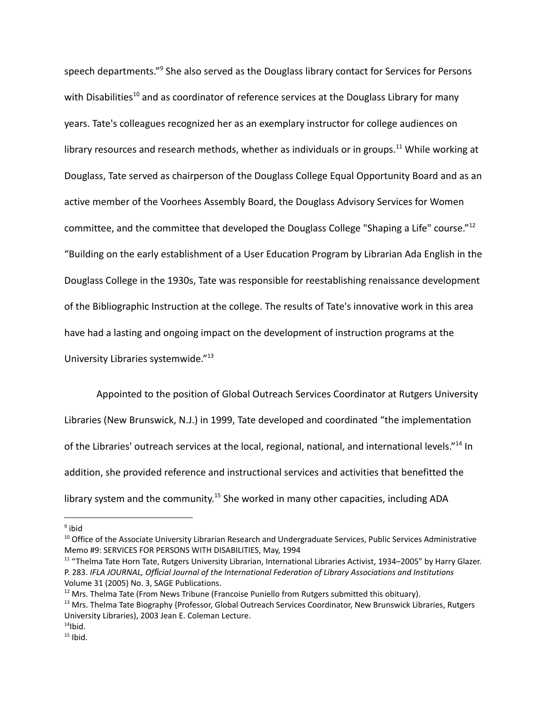speech departments."<sup>9</sup> She also served as the Douglass library contact for Services for Persons with Disabilities<sup>10</sup> and as coordinator of reference services at the Douglass Library for many years. Tate's colleagues recognized her as an exemplary instructor for college audiences on library resources and research methods, whether as individuals or in groups.<sup>11</sup> While working at Douglass, Tate served as chairperson of the Douglass College Equal Opportunity Board and as an active member of the Voorhees Assembly Board, the Douglass Advisory Services for Women committee, and the committee that developed the Douglass College "Shaping a Life" course."<sup>12</sup> "Building on the early establishment of a User Education Program by Librarian Ada English in the Douglass College in the 1930s, Tate was responsible for reestablishing renaissance development of the Bibliographic Instruction at the college. The results of Tate's innovative work in this area have had a lasting and ongoing impact on the development of instruction programs at the University Libraries systemwide."<sup>13</sup>

Appointed to the position of Global Outreach Services Coordinator at Rutgers University Libraries (New Brunswick, N.J.) in 1999, Tate developed and coordinated "the implementation of the Libraries' outreach services at the local, regional, national, and international levels."<sup>14</sup> In addition, she provided reference and instructional services and activities that benefitted the library system and the community.<sup>15</sup> She worked in many other capacities, including ADA

<sup>&</sup>lt;sup>9</sup> ibid

<sup>&</sup>lt;sup>10</sup> Office of the Associate University Librarian Research and Undergraduate Services, Public Services Administrative Memo #9: SERVICES FOR PERSONS WITH DISABILITIES, May, 1994

<sup>&</sup>lt;sup>11</sup> "Thelma Tate Horn Tate, Rutgers University Librarian, International Libraries Activist, 1934–2005" by Harry Glazer. P. 283. *IFLA JOURNAL, Official Journal of the International Federation of Library Associations and Institutions* Volume 31 (2005) No. 3, SAGE Publications.

 $12$  Mrs. Thelma Tate (From News Tribune (Francoise Puniello from Rutgers submitted this obituary).

<sup>&</sup>lt;sup>13</sup> Mrs. Thelma Tate Biography {Professor, Global Outreach Services Coordinator, New Brunswick Libraries, Rutgers University Libraries), 2003 Jean E. Coleman Lecture.

 $14$ Ibid.

 $15$  Ibid.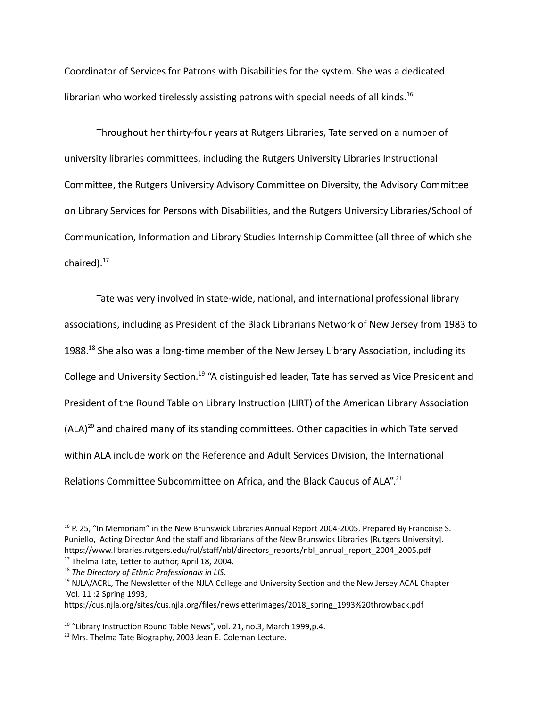Coordinator of Services for Patrons with Disabilities for the system. She was a dedicated librarian who worked tirelessly assisting patrons with special needs of all kinds.<sup>16</sup>

Throughout her thirty-four years at Rutgers Libraries, Tate served on a number of university libraries committees, including the Rutgers University Libraries Instructional Committee, the Rutgers University Advisory Committee on Diversity, the Advisory Committee on Library Services for Persons with Disabilities, and the Rutgers University Libraries/School of Communication, Information and Library Studies Internship Committee (all three of which she chaired).<sup>17</sup>

Tate was very involved in state-wide, national, and international professional library associations, including as President of the Black Librarians Network of New Jersey from 1983 to 1988.<sup>18</sup> She also was a long-time member of the New Jersey Library Association, including its College and University Section.<sup>19</sup> "A distinguished leader, Tate has served as Vice President and President of the Round Table on Library Instruction (LIRT) of the American Library Association  $(ALA)<sup>20</sup>$  and chaired many of its standing committees. Other capacities in which Tate served within ALA include work on the Reference and Adult Services Division, the International Relations Committee Subcommittee on Africa, and the Black Caucus of ALA".<sup>21</sup>

<sup>&</sup>lt;sup>16</sup> P. 25, "In Memoriam" in the New Brunswick Libraries Annual Report 2004-2005. Prepared By Francoise S. Puniello, Acting Director And the staff and librarians of the New Brunswick Libraries [Rutgers University]. https://www.libraries.rutgers.edu/rul/staff/nbl/directors\_reports/nbl\_annual\_report\_2004\_2005.pdf

<sup>&</sup>lt;sup>17</sup> Thelma Tate, Letter to author, April 18, 2004.

<sup>18</sup> *The Directory of Ethnic Professionals in LIS.*

<sup>&</sup>lt;sup>19</sup> NJLA/ACRL, The Newsletter of the NJLA College and University Section and the New Jersey ACAL Chapter Vol. 11 :2 Spring 1993,

https://cus.njla.org/sites/cus.njla.org/files/newsletterimages/2018\_spring\_1993%20throwback.pdf

<sup>&</sup>lt;sup>20</sup> "Library Instruction Round Table News", vol. 21, no.3, March 1999,p.4.

<sup>&</sup>lt;sup>21</sup> Mrs. Thelma Tate Biography, 2003 Jean E. Coleman Lecture.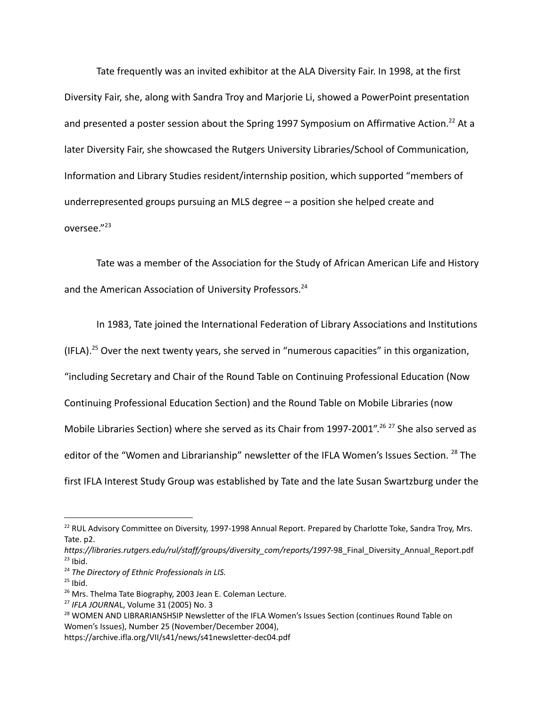Tate frequently was an invited exhibitor at the ALA Diversity Fair. In 1998, at the first Diversity Fair, she, along with Sandra Troy and Marjorie Li, showed a PowerPoint presentation and presented a poster session about the Spring 1997 Symposium on Affirmative Action.<sup>22</sup> At a later Diversity Fair, she showcased the Rutgers University Libraries/School of Communication, Information and Library Studies resident/internship position, which supported "members of underrepresented groups pursuing an MLS degree – a position she helped create and oversee."<sup>23</sup>

Tate was a member of the Association for the Study of African American Life and History and the American Association of University Professors.<sup>24</sup>

In 1983, Tate joined the International Federation of Library Associations and Institutions (IFLA).<sup>25</sup> Over the next twenty years, she served in "numerous capacities" in this organization, "including Secretary and Chair of the Round Table on Continuing Professional Education (Now Continuing Professional Education Section) and the Round Table on Mobile Libraries (now Mobile Libraries Section) where she served as its Chair from 1997-2001".<sup>26 27</sup> She also served as editor of the "Women and Librarianship" newsletter of the IFLA Women's Issues Section. <sup>28</sup> The first IFLA Interest Study Group was established by Tate and the late Susan Swartzburg under the

<sup>&</sup>lt;sup>22</sup> RUL Advisory Committee on Diversity, 1997-1998 Annual Report. Prepared by Charlotte Toke, Sandra Troy, Mrs. Tate. p2.

 $23$  Ibid. *https://libraries.rutgers.edu/rul/staff/groups/diversity\_com/reports/1997*-98\_Final\_Diversity\_Annual\_Report.pdf

<sup>24</sup> *The Directory of Ethnic Professionals in LIS.*

 $25$  Ibid.

<sup>&</sup>lt;sup>26</sup> Mrs. Thelma Tate Biography, 2003 Jean E. Coleman Lecture.

<sup>27</sup> *IFLA JOURNA*L, Volume 31 (2005) No. 3

<sup>&</sup>lt;sup>28</sup> WOMEN AND LIBRARIANSHSIP Newsletter of the IFLA Women's Issues Section (continues Round Table on Women's Issues), Number 25 (November/December 2004),

https://archive.ifla.org/VII/s41/news/s41newsletter-dec04.pdf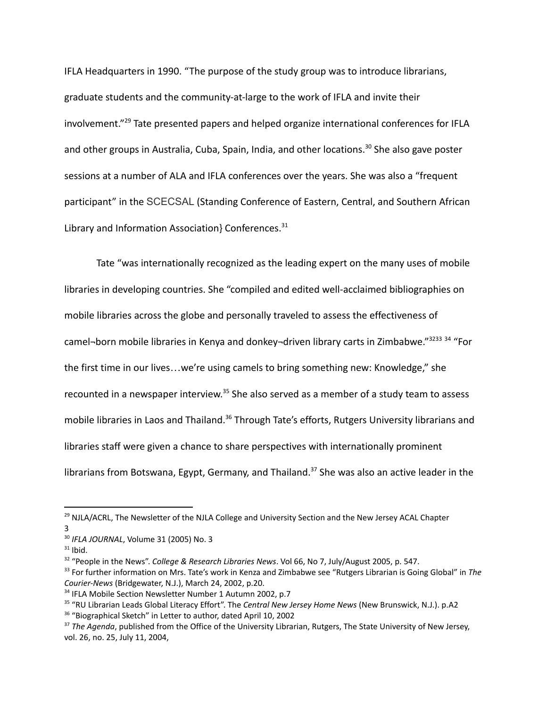IFLA Headquarters in 1990. "The purpose of the study group was to introduce librarians, graduate students and the community-at-large to the work of IFLA and invite their involvement." <sup>29</sup> Tate presented papers and helped organize international conferences for IFLA and other groups in Australia, Cuba, Spain, India, and other locations.<sup>30</sup> She also gave poster sessions at a number of ALA and IFLA conferences over the years. She was also a "frequent participant" in the SCECSAL (Standing Conference of Eastern, Central, and Southern African Library and Information Association} Conferences.<sup>31</sup>

Tate "was internationally recognized as the leading expert on the many uses of mobile libraries in developing countries. She "compiled and edited well-acclaimed bibliographies on mobile libraries across the globe and personally traveled to assess the effectiveness of camel-born mobile libraries in Kenya and donkey-driven library carts in Zimbabwe."<sup>3233 34</sup> "For the first time in our lives…we're using camels to bring something new: Knowledge," she recounted in a newspaper interview.<sup>35</sup> She also served as a member of a study team to assess mobile libraries in Laos and Thailand.<sup>36</sup> Through Tate's efforts, Rutgers University librarians and libraries staff were given a chance to share perspectives with internationally prominent librarians from Botswana, Egypt, Germany, and Thailand.<sup>37</sup> She was also an active leader in the

<sup>36</sup> "Biographical Sketch" in Letter to author, dated April 10, 2002

<sup>&</sup>lt;sup>29</sup> NJLA/ACRL, The Newsletter of the NJLA College and University Section and the New Jersey ACAL Chapter 3

<sup>30</sup> *IFLA JOURNAL*, Volume 31 (2005) No. 3

 $31$  Ibid.

<sup>32</sup> "People in the News". *College & Research Libraries News*. Vol 66, No 7, July/August 2005, p. 547.

<sup>33</sup> For further information on Mrs. Tate's work in Kenza and Zimbabwe see "Rutgers Librarian is Going Global" in *The Courier-News* (Bridgewater, N.J.), March 24, 2002, p.20.

<sup>&</sup>lt;sup>34</sup> IFLA Mobile Section Newsletter Number 1 Autumn 2002, p.7

<sup>35</sup> "RU Librarian Leads Global Literacy Effort". The *Central New Jersey Home News* (New Brunswick, N.J.). p.A2

<sup>37</sup> *The Agenda*, published from the Office of the University Librarian, Rutgers, The State University of New Jersey, vol. 26, no. 25, July 11, 2004,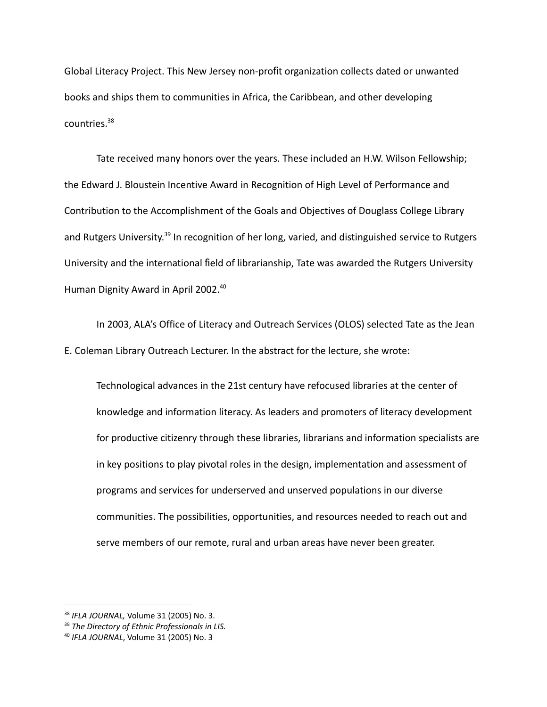Global Literacy Project. This New Jersey non-profit organization collects dated or unwanted books and ships them to communities in Africa, the Caribbean, and other developing countries.<sup>38</sup>

Tate received many honors over the years. These included an H.W. Wilson Fellowship; the Edward J. Bloustein Incentive Award in Recognition of High Level of Performance and Contribution to the Accomplishment of the Goals and Objectives of Douglass College Library and Rutgers University.<sup>39</sup> In recognition of her long, varied, and distinguished service to Rutgers University and the international field of librarianship, Tate was awarded the Rutgers University Human Dignity Award in April 2002.<sup>40</sup>

In 2003, ALA's Office of Literacy and Outreach Services (OLOS) selected Tate as the Jean E. Coleman Library Outreach Lecturer. In the abstract for the lecture, she wrote:

Technological advances in the 21st century have refocused libraries at the center of knowledge and information literacy. As leaders and promoters of literacy development for productive citizenry through these libraries, librarians and information specialists are in key positions to play pivotal roles in the design, implementation and assessment of programs and services for underserved and unserved populations in our diverse communities. The possibilities, opportunities, and resources needed to reach out and serve members of our remote, rural and urban areas have never been greater.

<sup>38</sup> *IFLA JOURNAL,* Volume 31 (2005) No. 3.

<sup>39</sup> *The Directory of Ethnic Professionals in LIS.*

<sup>40</sup> *IFLA JOURNAL*, Volume 31 (2005) No. 3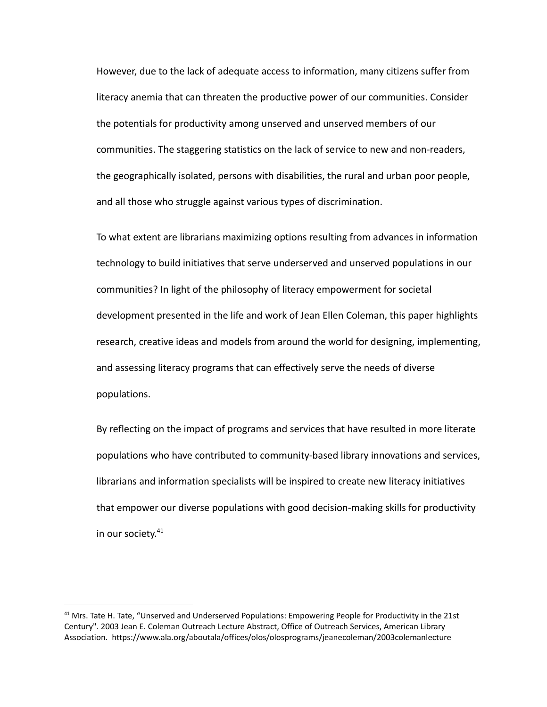However, due to the lack of adequate access to information, many citizens suffer from literacy anemia that can threaten the productive power of our communities. Consider the potentials for productivity among unserved and unserved members of our communities. The staggering statistics on the lack of service to new and non-readers, the geographically isolated, persons with disabilities, the rural and urban poor people, and all those who struggle against various types of discrimination.

To what extent are librarians maximizing options resulting from advances in information technology to build initiatives that serve underserved and unserved populations in our communities? In light of the philosophy of literacy empowerment for societal development presented in the life and work of Jean Ellen Coleman, this paper highlights research, creative ideas and models from around the world for designing, implementing, and assessing literacy programs that can effectively serve the needs of diverse populations.

By reflecting on the impact of programs and services that have resulted in more literate populations who have contributed to community-based library innovations and services, librarians and information specialists will be inspired to create new literacy initiatives that empower our diverse populations with good decision-making skills for productivity in our society. 41

<sup>&</sup>lt;sup>41</sup> Mrs. Tate H. Tate, "Unserved and Underserved Populations: Empowering People for Productivity in the 21st Century". 2003 Jean E. Coleman Outreach Lecture Abstract, Office of Outreach Services, American Library Association. https://www.ala.org/aboutala/offices/olos/olosprograms/jeanecoleman/2003colemanlecture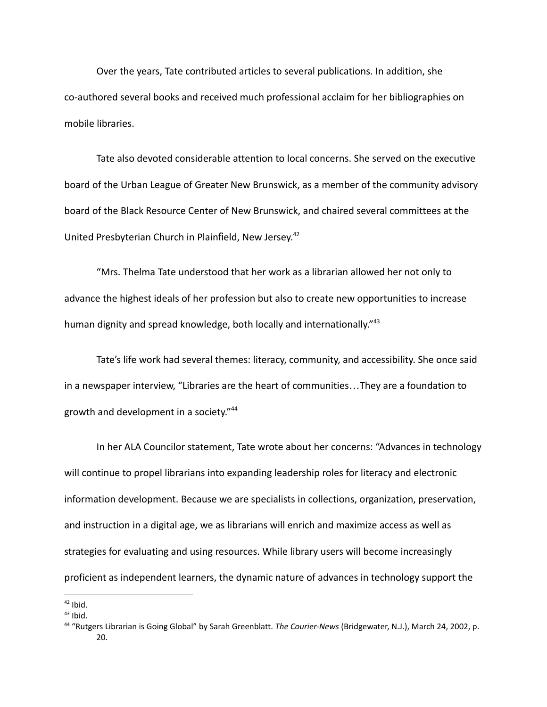Over the years, Tate contributed articles to several publications. In addition, she co-authored several books and received much professional acclaim for her bibliographies on mobile libraries.

Tate also devoted considerable attention to local concerns. She served on the executive board of the Urban League of Greater New Brunswick, as a member of the community advisory board of the Black Resource Center of New Brunswick, and chaired several committees at the United Presbyterian Church in Plainfield, New Jersey. 42

"Mrs. Thelma Tate understood that her work as a librarian allowed her not only to advance the highest ideals of her profession but also to create new opportunities to increase human dignity and spread knowledge, both locally and internationally."<sup>43</sup>

Tate's life work had several themes: literacy, community, and accessibility. She once said in a newspaper interview, "Libraries are the heart of communities…They are a foundation to growth and development in a society." 44

In her ALA Councilor statement, Tate wrote about her concerns: "Advances in technology will continue to propel librarians into expanding leadership roles for literacy and electronic information development. Because we are specialists in collections, organization, preservation, and instruction in a digital age, we as librarians will enrich and maximize access as well as strategies for evaluating and using resources. While library users will become increasingly proficient as independent learners, the dynamic nature of advances in technology support the

 $42$  Ibid.

 $43$  Ibid.

<sup>44</sup> "Rutgers Librarian is Going Global" by Sarah Greenblatt. *The Courier-News* (Bridgewater, N.J.), March 24, 2002, p. 20.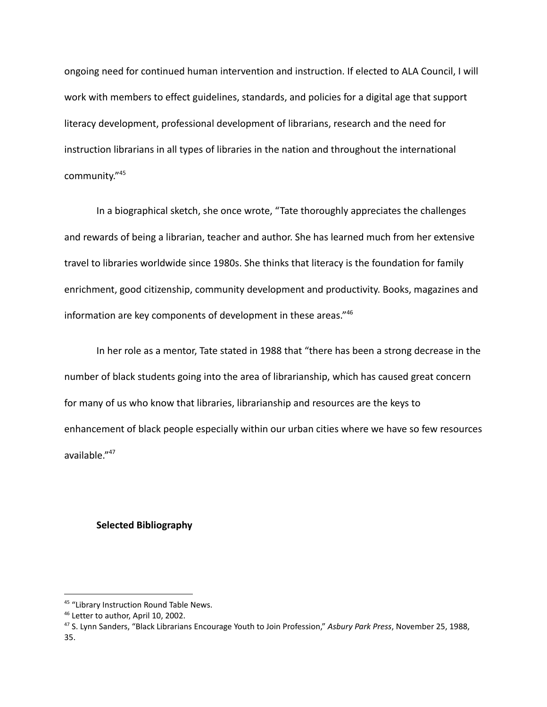ongoing need for continued human intervention and instruction. If elected to ALA Council, I will work with members to effect guidelines, standards, and policies for a digital age that support literacy development, professional development of librarians, research and the need for instruction librarians in all types of libraries in the nation and throughout the international community." 45

In a biographical sketch, she once wrote, "Tate thoroughly appreciates the challenges and rewards of being a librarian, teacher and author. She has learned much from her extensive travel to libraries worldwide since 1980s. She thinks that literacy is the foundation for family enrichment, good citizenship, community development and productivity. Books, magazines and information are key components of development in these areas." 46

In her role as a mentor, Tate stated in 1988 that "there has been a strong decrease in the number of black students going into the area of librarianship, which has caused great concern for many of us who know that libraries, librarianship and resources are the keys to enhancement of black people especially within our urban cities where we have so few resources available." 47

## **Selected Bibliography**

<sup>&</sup>lt;sup>45</sup> "Library Instruction Round Table News.

<sup>&</sup>lt;sup>46</sup> Letter to author, April 10, 2002.

<sup>47</sup> S. Lynn Sanders, "Black Librarians Encourage Youth to Join Profession," *Asbury Park Press*, November 25, 1988, 35.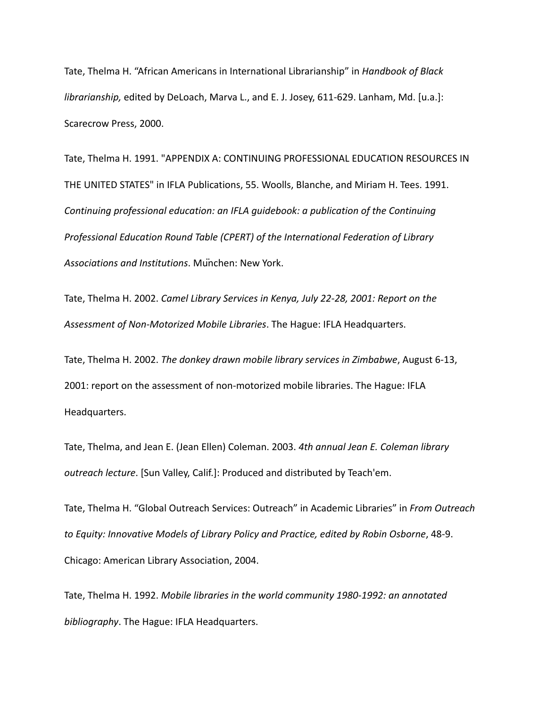Tate, Thelma H. "African Americans in International Librarianship" in *Handbook of Black librarianship,* edited by DeLoach, Marva L., and E. J. Josey, 611-629. Lanham, Md. [u.a.]: Scarecrow Press, 2000.

Tate, Thelma H. 1991. "APPENDIX A: CONTINUING PROFESSIONAL EDUCATION RESOURCES IN THE UNITED STATES" in IFLA Publications, 55. Woolls, Blanche, and Miriam H. Tees. 1991. *Continuing professional education: an IFLA guidebook: a publication of the Continuing Professional Education Round Table (CPERT) of the International Federation of Library Associations and Institutions*. München: New York.

Tate, Thelma H. 2002. *Camel Library Services in Kenya, July 22-28, 2001: Report on the Assessment of Non-Motorized Mobile Libraries*. The Hague: IFLA Headquarters.

Tate, Thelma H. 2002. *The donkey drawn mobile library services in Zimbabwe*, August 6-13, 2001: report on the assessment of non-motorized mobile libraries. The Hague: IFLA Headquarters.

Tate, Thelma, and Jean E. (Jean Ellen) Coleman. 2003. *4th annual Jean E. Coleman library outreach lecture*. [Sun Valley, Calif.]: Produced and distributed by Teach'em.

Tate, Thelma H. "Global Outreach Services: Outreach" in Academic Libraries" in *From Outreach to Equity: Innovative Models of Library Policy and Practice, edited by Robin Osborne*, 48-9. Chicago: American Library Association, 2004.

Tate, Thelma H. 1992. *Mobile libraries in the world community 1980-1992: an annotated bibliography*. The Hague: IFLA Headquarters.